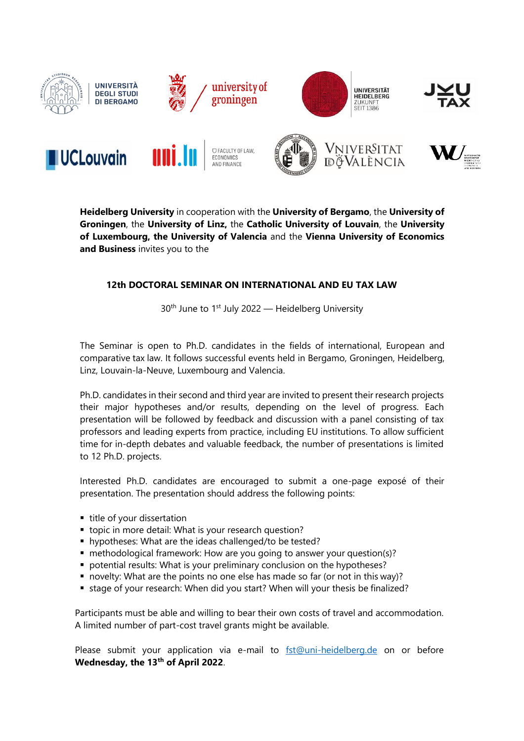

















**Heidelberg University** in cooperation with the **University of Bergamo**, the **University of Groningen**, the **University of Linz,** the **Catholic University of Louvain**, the **University of Luxembourg, the University of Valencia** and the **Vienna University of Economics and Business** invites you to the

## **12th DOCTORAL SEMINAR ON INTERNATIONAL AND EU TAX LAW**

 $30<sup>th</sup>$  June to 1<sup>st</sup> July 2022 — Heidelberg University

The Seminar is open to Ph.D. candidates in the fields of international, European and comparative tax law. It follows successful events held in Bergamo, Groningen, Heidelberg, Linz, Louvain-la-Neuve, Luxembourg and Valencia.

Ph.D. candidates in their second and third year are invited to present their research projects their major hypotheses and/or results, depending on the level of progress. Each presentation will be followed by feedback and discussion with a panel consisting of tax professors and leading experts from practice, including EU institutions. To allow sufficient time for in-depth debates and valuable feedback, the number of presentations is limited to 12 Ph.D. projects.

Interested Ph.D. candidates are encouraged to submit a one-page exposé of their presentation. The presentation should address the following points:

- title of your dissertation
- **tiopic in more detail: What is your research question?**
- hypotheses: What are the ideas challenged/to be tested?
- methodological framework: How are you going to answer your question(s)?
- potential results: What is your preliminary conclusion on the hypotheses?
- novelty: What are the points no one else has made so far (or not in this way)?
- stage of your research: When did you start? When will your thesis be finalized?

Participants must be able and willing to bear their own costs of travel and accommodation. A limited number of part-cost travel grants might be available.

Please submit your application via e-mail to [fst@uni-heidelberg.de](mailto:fst@uni-heidelberg.de) on or before **Wednesday, the 13th of April 2022**.